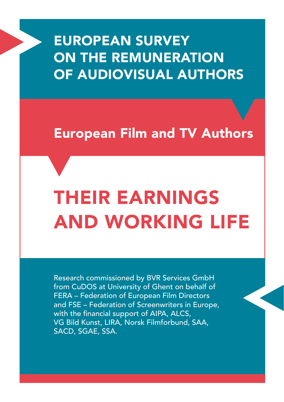# EUROPEAN SURVEY ON THE REMUNERATION OF AUDIOVISUAL AUTHORS

# European Film and TV Authors

# THEIR EARNINGS AND WORKING LIFE

Research commissioned by BVR Services GmbH from CuDOS at University of Ghent on behalf of FERA – Federation of European Film Directors and FSE – Federation of Screenwriters in Europe, with the financial support of AIPA, ALCS, VG Bild Kunst, LIRA, Norsk Filmforbund, SAA, SACD, SGAE, SSA.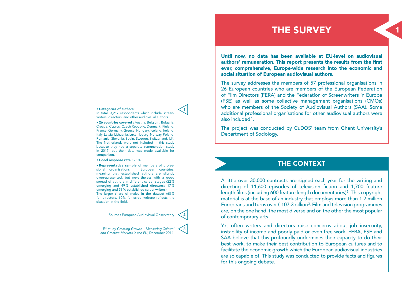# THE SURVEY

1

Until now, no data has been available at EU-level on audiovisual authors' remuneration. This report presents the results from the first ever, comprehensive, Europe-wide research into the economic and social situation of European audiovisual authors.

The survey addresses the members of 57 professional organisations in 26 European countries who are members of the European Federation of Film Directors (FERA) and the Federation of Screenwriters in Europe (FSE) as well as some collective management organisations (CMOs) who are members of the Society of Audiovisual Authors (SAA). Some additional professional organisations for other audiovisual authors were also included 1.

The project was conducted by CuDOS' team from Ghent University's Department of Sociology.

## THE CONTEXT

A little over 30,000 contracts are signed each year for the writing and directing of 11,600 episodes of television fiction and 1,700 feature length films (including 600 feature length documentaries)<sup>2</sup>. This copyright material is at the base of an industry that employs more than 1.2 million Europeans and turns over  $\epsilon$  107.3 billion<sup>3</sup>. Film and television programmes are, on the one hand, the most diverse and on the other the most popular of contemporary arts.

Yet often writers and directors raise concerns about job insecurity, instability of income and poorly paid or even free work. FERA, FSE and SAA believe that this profoundly undermines their capacity to do their best work, to make their best contribution to European cultures and to facilitate the economic growth which the European audiovisual industries are so capable of. This study was conducted to provide facts and figures for this ongoing debate.

#### • Categories of authors :

In total, 3.217 respondents which include screen writers, directors, and other audiovisual authors.

• 26 countries covered : Austria, Belgium, Bulgaria, Croatia, Cyprus, Czech Republic, Denmark, Finland, France, Germany, Greece, Hungary, Iceland, Ireland, Italy, Latvia, Lithuania, Luxembourg, Norway, Poland, Romania, Slovenia, Spain, Sweden, Switzerland, UK. The Netherlands were not included in this study because they had a separate remuneration study in 2017, but their data was made available for comparison.

#### • Good response rate : 23%

•  Representative sample of members of professional organisations in European countries, meaning that established authors are slightly overrepresented, but nevertheless with a good spread of authors in different career stages (22 % emerging and 49% established directors; 17% emerging and 53 % established screenwriters). The larger share of males in the dataset (68 % for directors, 60 % for screenwriters) reflects the situation in the field.

Source : European Audiovisual Observatory

EY study *Creating Growth – Measuring Cultural and Creative Markets in the EU*, December 2014.



2

1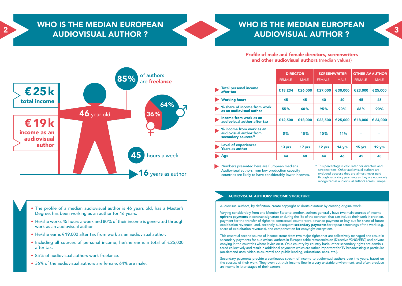## WHO IS THE MEDIAN EUROPEAN AUDIOVISUAL AUTHOR ?

2



## WHO IS THE MEDIAN EUROPEAN AUDIOVISUAL AUTHOR ?





Profile of male and female directors, screenwriters and other audiovisual authors (median values)

|                                                                           | <b>DIRECTOR</b> |             | <b>SCREENWRITER</b> |             | <b>OTHER AV AUTHOR</b> |             |
|---------------------------------------------------------------------------|-----------------|-------------|---------------------|-------------|------------------------|-------------|
|                                                                           | <b>FEMALE</b>   | <b>MALE</b> | <b>FEMALE</b>       | <b>MALE</b> | <b>FEMALE</b>          | <b>MALE</b> |
| <b>Total personal income</b><br>after tax                                 | €18,234         | €26.000     | €27.000             | €30,000     | €23,000                | €25,000     |
| <b>Working hours</b>                                                      | 45              | 45          | 40                  | 40          | 45                     | 45          |
| % share of income from work<br>as an audiovisual author                   | 55%             | 60%         | 95%                 | 90%         | 66%                    | 90%         |
| Income from work as an<br>audiovisual author after tax                    | €12,500         | €18,000     | €23,500             | €25,000     | €18,000                | € 24,000    |
| % income from work as an<br>audiovisual author from<br>secondary sources* | 5%              | 10%         | 10%                 | 11%         |                        |             |
| <b>Level of experience:</b><br><b>Years as author</b>                     | 13 yrs          | 17 yrs      | 12 yrs              | 14 yrs      | 15 yrs                 | 19 yrs      |
| Age                                                                       | 44              | 48          | 44                  | 46          | 45                     | 48          |

Numbers presented here are European medians. Audiovisual authors from low production capacity countries are likely to have considerably lower incomes.

#### AUDIOVISUAL AUTHORS' INCOME STRUCTURE

Audiovisual authors, by definition, create copyright or droits d'auteur by creating original work.

Varying considerably from one Member State to another, authors generally have two main sources of income – upfront payments at contract signature or during the life of the contract, that can include their work in creation, payment for the transfer of rights to contractual counterpart, advance payment or buy-out for share of future exploitation revenues; and, secondly, subsequent secondary payments for repeat screenings of the work (e.g. share of exploitation revenues), and compensation for copyright exceptions.

This essential second source of income stems from two major rights that are collectively managed and result in secondary payments for audiovisual authors in Europe: cable retransmission (Directive 93/83/EEC) and private copying in the countries where levies exist. On a country by country basis, other secondary rights are administered collectively and result in additional payments which are rather important for TV broadcasting in particular (on-demand uses, video sales, rental and public lending, educational uses, etc.).

Secondary payments provide a continuous stream of income to audiovisual authors over the years, based on the success of their work. They even out their income flow in a very unstable environment, and often produce an income in later stages of their careers.

- The profile of a median audiovisual author is 46 years old, has a Master's Degree, has been working as an author for 16 years.
- He/she works 45 hours a week and 80% of their income is generated through work as an audiovisual author.
- He/she earns €19,000 after tax from work as an audiovisual author.
- Including all sources of personal income, he/she earns a total of €25,000 after tax.
- 85% of audiovisual authors work freelance
- 36% of the audiovisual authors are female, 64% are male.

<sup>\*</sup> This percentage is calculated for directors and screenwriters. Other audiovisual authors are excluded because they are almost never paid through secondary payments as they are not widely recognized as audiovisual authors across Europe.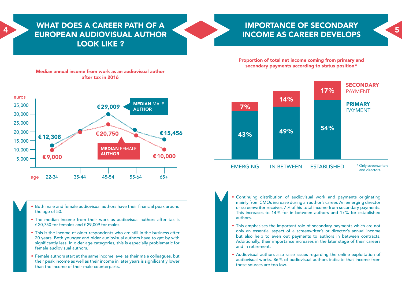### WHAT DOES A CAREER PATH OF A EUROPEAN AUDIOVISUAL AUTHOR LOOK LIKE ? ELIBODEAN ALIDIOVICITAL ALITHOP NUMBER OF A START OF THE OPEN COMPLETED BY A START OF THE OPEN COMPLETED BY A START OF THE OPEN COMPLETED BY A START OF THE OPEN COMPLETED BY A START OF THE OPEN COMPLETED BY A START OF THE



Proportion of total net income coming from primary and secondary payments according to status position\*

## Median annual income from work as an audiovisual author after tax in 2016



\* Only screenwriters and directors. PAYMENT PRIMARY PAYMENT EMERGING IN BETWEEN ESTABLISHED 14  % 49  % 7  % 43  % 17  % 54  %

- Both male and female audiovisual authors have their financial peak around the age of 50.
- The median income from their work as audiovisual authors after tax is €20,750 for females and €29,009 for males.
- This is the income of older respondents who are still in the business after 20 years. Both younger and older audiovisual authors have to get by with significantly less. In older age categories, this is especially problematic for female audiovisual authors.
- Female authors start at the same income level as their male colleagues, but their peak income as well as their income in later years is significantly lower than the income of their male counterparts.
- Continuing distribution of audiovisual work and payments originating mainly from CMOs increase during an author's career. An emerging director or screenwriter receives 7% of his total income from secondary payments. This increases to 14% for in between authors and 17% for established authors.
- This emphasises the important role of secondary payments which are not only an essential aspect of a screenwriter's or director's annual income but also help to even out payments to authors in between contracts. Additionally, their importance increases in the later stage of their careers and in retirement.
- Audiovisual authors also raise issues regarding the online exploitation of audiovisual works. 86% of audiovisual authors indicate that income from these sources are too low.

**SECONDARY**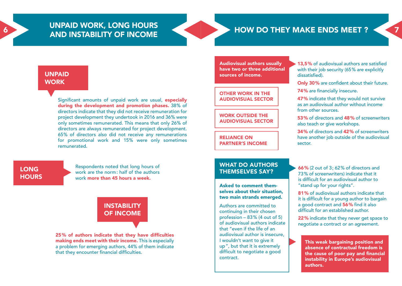## UNPAID WORK, LONG HOURS AND INSTABILITY OF INCOME



#### UNPAID **WORK**

Significant amounts of unpaid work are usual, **especially** during the development and promotion phases. 38% of directors indicate that they did not receive remuneration for project development they undertook in 2016 and 36% were only sometimes remunerated. This means that only 26% of directors are always remunerated for project development. 65% of directors also did not receive any remunerations for promotional work and 15% were only sometimes remunerated.

## LONG **HOURS**

Respondents noted that long hours of work are the norm: half of the authors work more than 45 hours a week.

# **INSTABILITY** OF INCOME

25% of authors indicate that they have difficulties making ends meet with their income. This is especially a problem for emerging authors, 44% of them indicate that they encounter financial difficulties.

Audiovisual authors usually have two or three additional sources of income.

#### OTHER WORK IN THE AUDIOVISUAL SECTOR

#### WORK OUTSIDE THE AUDIOVISUAL SECTOR

RELIANCE ON PARTNER'S INCOME

#### WHAT DO AUTHORS THEMSELVES SAY?

Asked to comment themselves about their situation, two main strands emerged.

Authors are committed to continuing in their chosen profession – 83% (4 out of 5) of audiovisual authors indicate that "even if the life of an audiovisual author is insecure, I wouldn't want to give it up", but that it is extremely difficult to negotiate a good contract.

13,5% of audiovisual authors are satisfied with their job security (65% are explicitly dissatisfied).

Only 30% are confident about their future.

74% are financially insecure.

47% indicate that they would not survive as an audiovisual author without income from other sources.

53% of directors and 48% of screenwriters also teach or give workshops.

34% of directors and 42% of screenwriters have another job outside of the audiovisual sector.

- 66% (2 out of 3; 62% of directors and 73% of screenwriters) indicate that it is difficult for an audiovisual author to "stand up for your rights".
- 81% of audiovisual authors indicate that it is difficult for a young author to bargain a good contract and 56% find it also difficult for an established author.

22% indicate that they never get space to negotiate a contract or an agreement.

This weak bargaining position and absence of contractual freedom is the cause of poor pay and financial instability in Europe's audiovisual authors.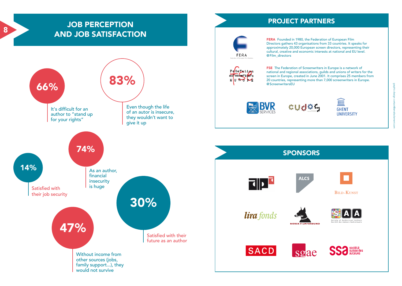## JOB PERCEPTION AND JOB SATISFACTION

8



## PROJECT PARTNERS



FERA Founded in 1980, the Federation of European Film Directors gathers 43 organisations from 33 countries. It speaks for approximately 20,000 European screen directors, representing their cultural, creative and economic interests at national and EU level. @Film\_directors



FSE The Federation of Screenwriters in Europe is a network of national and regional associations, guilds and unions of writers for the screen in Europe, created in June 2001. It comprises 25 members from 20 countries, representing more than 7,000 screenwriters in Europe. @ScreenwritersEU



cudes,